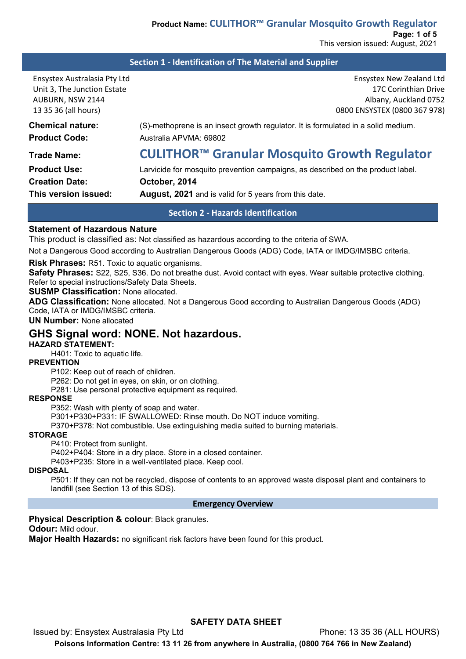## **Section 1 - Identification of The Material and Supplier**

| Ensystex Australasia Pty Ltd<br>Unit 3, The Junction Estate<br>AUBURN, NSW 2144<br>13 35 36 (all hours) | <b>Ensystex New Zealand Ltd</b><br>17C Corinthian Drive<br>Albany, Auckland 0752<br>0800 ENSYSTEX (0800 367 978) |  |  |
|---------------------------------------------------------------------------------------------------------|------------------------------------------------------------------------------------------------------------------|--|--|
| <b>Chemical nature:</b>                                                                                 | (S)-methoprene is an insect growth regulator. It is formulated in a solid medium.                                |  |  |
| <b>Product Code:</b>                                                                                    | Australia APVMA: 69802                                                                                           |  |  |
| <b>Trade Name:</b>                                                                                      | CULITHOR <sup>™</sup> Granular Mosquito Growth Regulator                                                         |  |  |
| <b>Product Use:</b>                                                                                     | Larvicide for mosquito prevention campaigns, as described on the product label.                                  |  |  |
| <b>Creation Date:</b>                                                                                   | October, 2014                                                                                                    |  |  |
| This version issued:                                                                                    | <b>August, 2021</b> and is valid for 5 years from this date.                                                     |  |  |

**Section 2 - Hazards Identification**

## **Statement of Hazardous Nature**

This product is classified as: Not classified as hazardous according to the criteria of SWA.

Not a Dangerous Good according to Australian Dangerous Goods (ADG) Code, IATA or IMDG/IMSBC criteria.

**Risk Phrases:** R51. Toxic to aquatic organisms.

**Safety Phrases:** S22, S25, S36. Do not breathe dust. Avoid contact with eyes. Wear suitable protective clothing. Refer to special instructions/Safety Data Sheets.

**SUSMP Classification:** None allocated.

**ADG Classification:** None allocated. Not a Dangerous Good according to Australian Dangerous Goods (ADG) Code, IATA or IMDG/IMSBC criteria.

**UN Number:** None allocated

# **GHS Signal word: NONE. Not hazardous.**

#### **HAZARD STATEMENT:**

H401: Toxic to aquatic life.

#### **PREVENTION**

P102: Keep out of reach of children.

P262: Do not get in eyes, on skin, or on clothing.

P281: Use personal protective equipment as required.

#### **RESPONSE**

P352: Wash with plenty of soap and water.

P301+P330+P331: IF SWALLOWED: Rinse mouth. Do NOT induce vomiting.

P370+P378: Not combustible. Use extinguishing media suited to burning materials.

#### **STORAGE**

P410: Protect from sunlight.

P402+P404: Store in a dry place. Store in a closed container.

P403+P235: Store in a well-ventilated place. Keep cool.

#### **DISPOSAL**

P501: If they can not be recycled, dispose of contents to an approved waste disposal plant and containers to landfill (see Section 13 of this SDS).

#### **Emergency Overview**

#### **Physical Description & colour**: Black granules.

**Odour:** Mild odour.

**Major Health Hazards:** no significant risk factors have been found for this product.

## **SAFETY DATA SHEET**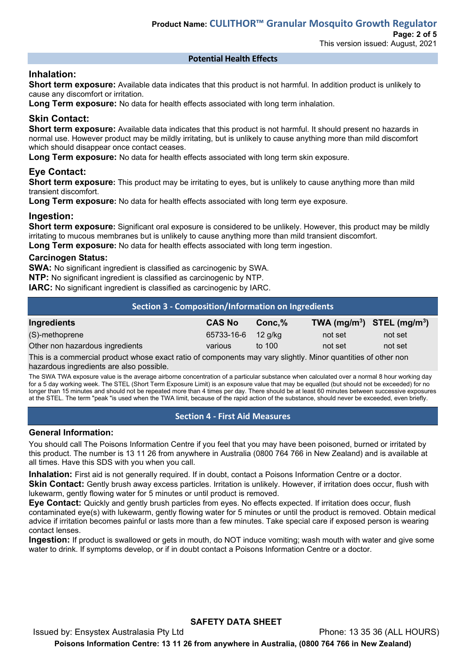# This version issued: August, 2021

## **Potential Health Effects**

## **Inhalation:**

**Short term exposure:** Available data indicates that this product is not harmful. In addition product is unlikely to cause any discomfort or irritation.

**Long Term exposure:** No data for health effects associated with long term inhalation.

# **Skin Contact:**

**Short term exposure:** Available data indicates that this product is not harmful. It should present no hazards in normal use. However product may be mildly irritating, but is unlikely to cause anything more than mild discomfort which should disappear once contact ceases.

**Long Term exposure:** No data for health effects associated with long term skin exposure.

# **Eye Contact:**

**Short term exposure:** This product may be irritating to eyes, but is unlikely to cause anything more than mild transient discomfort.

**Long Term exposure:** No data for health effects associated with long term eye exposure.

## **Ingestion:**

**Short term exposure:** Significant oral exposure is considered to be unlikely. However, this product may be mildly irritating to mucous membranes but is unlikely to cause anything more than mild transient discomfort.

**Long Term exposure:** No data for health effects associated with long term ingestion.

## **Carcinogen Status:**

**SWA:** No significant ingredient is classified as carcinogenic by SWA.

**NTP:** No significant ingredient is classified as carcinogenic by NTP.

**IARC:** No significant ingredient is classified as carcinogenic by IARC.

| Section 3 - Composition/Information on Ingredients |               |           |         |                                |  |  |
|----------------------------------------------------|---------------|-----------|---------|--------------------------------|--|--|
| Ingredients                                        | <b>CAS No</b> | $Conc1$ % |         | TWA $(mg/m^3)$ STEL $(mg/m^3)$ |  |  |
| (S)-methoprene                                     | 65733-16-6    | 12 a/ka   | not set | not set                        |  |  |
| Other non hazardous ingredients                    | various       | to $100$  | not set | not set                        |  |  |

This is a commercial product whose exact ratio of components may vary slightly. Minor quantities of other non hazardous ingredients are also possible.

The SWA TWA exposure value is the average airborne concentration of a particular substance when calculated over a normal 8 hour working day for a 5 day working week. The STEL (Short Term Exposure Limit) is an exposure value that may be equalled (but should not be exceeded) for no longer than 15 minutes and should not be repeated more than 4 times per day. There should be at least 60 minutes between successive exposures at the STEL. The term "peak "is used when the TWA limit, because of the rapid action of the substance, should never be exceeded, even briefly.

## **Section 4 - First Aid Measures**

## **General Information:**

You should call The Poisons Information Centre if you feel that you may have been poisoned, burned or irritated by this product. The number is 13 11 26 from anywhere in Australia (0800 764 766 in New Zealand) and is available at all times. Have this SDS with you when you call.

**Inhalation:** First aid is not generally required. If in doubt, contact a Poisons Information Centre or a doctor.

**Skin Contact:** Gently brush away excess particles. Irritation is unlikely. However, if irritation does occur, flush with lukewarm, gently flowing water for 5 minutes or until product is removed.

**Eye Contact:** Quickly and gently brush particles from eyes. No effects expected. If irritation does occur, flush contaminated eye(s) with lukewarm, gently flowing water for 5 minutes or until the product is removed. Obtain medical advice if irritation becomes painful or lasts more than a few minutes. Take special care if exposed person is wearing contact lenses.

**Ingestion:** If product is swallowed or gets in mouth, do NOT induce vomiting; wash mouth with water and give some water to drink. If symptoms develop, or if in doubt contact a Poisons Information Centre or a doctor.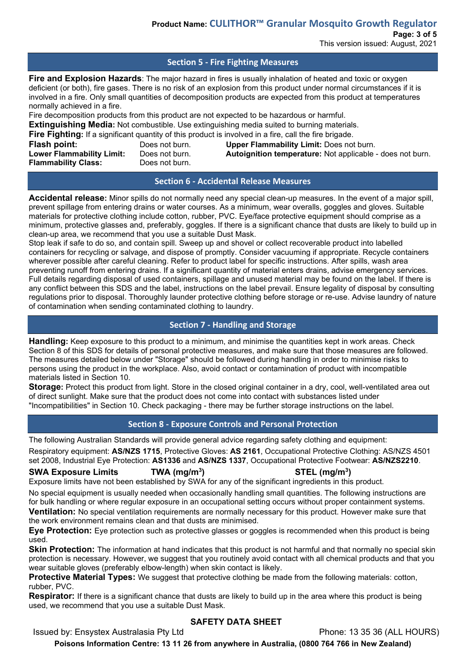This version issued: August, 2021

## **Section 5 - Fire Fighting Measures**

**Fire and Explosion Hazards**: The major hazard in fires is usually inhalation of heated and toxic or oxygen deficient (or both), fire gases. There is no risk of an explosion from this product under normal circumstances if it is involved in a fire. Only small quantities of decomposition products are expected from this product at temperatures normally achieved in a fire.

Fire decomposition products from this product are not expected to be hazardous or harmful.

**Extinguishing Media:** Not combustible. Use extinguishing media suited to burning materials.

**Fire Fighting:** If a significant quantity of this product is involved in a fire, call the fire brigade.<br> **Flash point:** Does not burn. **Upper Flammability Limit:** Does not

**Flammability Class:** 

**Flash point:** Does not burn. **Upper Flammability Limit:** Does not burn.<br>**Lower Flammability Limit:** Does not burn. **Autoignition temperature:** Not applicable Does not burn. **Autoignition temperature:** Not applicable - does not burn.<br>Does not burn.

**Section 6 - Accidental Release Measures**

**Accidental release:** Minor spills do not normally need any special clean-up measures. In the event of a major spill, prevent spillage from entering drains or water courses. As a minimum, wear overalls, goggles and gloves. Suitable materials for protective clothing include cotton, rubber, PVC. Eye/face protective equipment should comprise as a minimum, protective glasses and, preferably, goggles. If there is a significant chance that dusts are likely to build up in clean-up area, we recommend that you use a suitable Dust Mask.

Stop leak if safe to do so, and contain spill. Sweep up and shovel or collect recoverable product into labelled containers for recycling or salvage, and dispose of promptly. Consider vacuuming if appropriate. Recycle containers wherever possible after careful cleaning. Refer to product label for specific instructions. After spills, wash area preventing runoff from entering drains. If a significant quantity of material enters drains, advise emergency services. Full details regarding disposal of used containers, spillage and unused material may be found on the label. If there is any conflict between this SDS and the label, instructions on the label prevail. Ensure legality of disposal by consulting regulations prior to disposal. Thoroughly launder protective clothing before storage or re-use. Advise laundry of nature of contamination when sending contaminated clothing to laundry.

# **Section 7 - Handling and Storage**

**Handling:** Keep exposure to this product to a minimum, and minimise the quantities kept in work areas. Check Section 8 of this SDS for details of personal protective measures, and make sure that those measures are followed. The measures detailed below under "Storage" should be followed during handling in order to minimise risks to persons using the product in the workplace. Also, avoid contact or contamination of product with incompatible materials listed in Section 10.

**Storage:** Protect this product from light. Store in the closed original container in a dry, cool, well-ventilated area out of direct sunlight. Make sure that the product does not come into contact with substances listed under "Incompatibilities" in Section 10. Check packaging - there may be further storage instructions on the label.

# **Section 8 - Exposure Controls and Personal Protection**

The following Australian Standards will provide general advice regarding safety clothing and equipment:

Respiratory equipment: **AS/NZS 1715**, Protective Gloves: **AS 2161**, Occupational Protective Clothing: AS/NZS 4501 set 2008, Industrial Eye Protection: **AS1336** and **AS/NZS 1337**, Occupational Protective Footwear: **AS/NZS2210**.

## **SWA Exposure Limits TWA (mg/m3**

**) STEL (mg/m3 )** Exposure limits have not been established by SWA for any of the significant ingredients in this product.

No special equipment is usually needed when occasionally handling small quantities. The following instructions are for bulk handling or where regular exposure in an occupational setting occurs without proper containment systems. **Ventilation:** No special ventilation requirements are normally necessary for this product. However make sure that

the work environment remains clean and that dusts are minimised.

**Eye Protection:** Eye protection such as protective glasses or goggles is recommended when this product is being used.

**Skin Protection:** The information at hand indicates that this product is not harmful and that normally no special skin protection is necessary. However, we suggest that you routinely avoid contact with all chemical products and that you wear suitable gloves (preferably elbow-length) when skin contact is likely.

**Protective Material Types:** We suggest that protective clothing be made from the following materials: cotton, rubber, PVC.

**Respirator:** If there is a significant chance that dusts are likely to build up in the area where this product is being used, we recommend that you use a suitable Dust Mask.

# **SAFETY DATA SHEET**

Issued by: Ensystex Australasia Pty Ltd Phone: 13 35 36 (ALL HOURS)

**Poisons Information Centre: 13 11 26 from anywhere in Australia, (0800 764 766 in New Zealand)**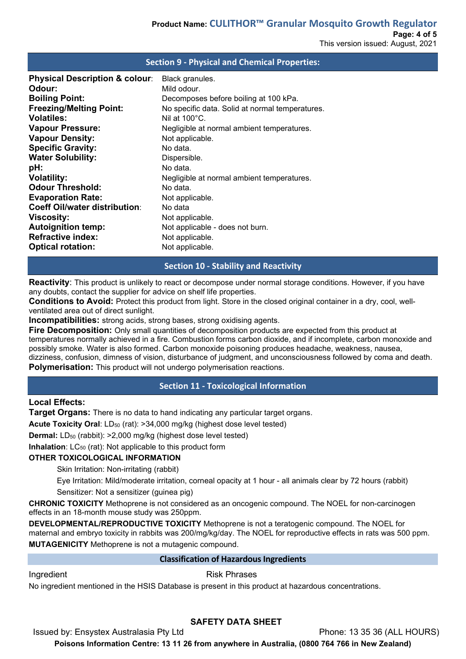# **Section 9 - Physical and Chemical Properties: Physical Description & colour:** Black granules.<br>**Odour:** Mild odour. **Odour:** Mild odour.<br> **Boiling Point:** Boiling Point: **Boiling Point:** Decomposes before boiling at 100 kPa.<br> **Freezing/Melting Point:** No specific data. Solid at normal temper **Freezing/Melting Point:** No specific data. Solid at normal temperatures. **Volatiles:** Nil at 100°C.<br> **Vapour Pressure:** Negligible at Negligible at 100°C. Negligible at normal ambient temperatures. **Vapour Density:** Not applicable. **Specific Gravity:** No data.<br> **Water Solubility:** Dispersible. **Water Solubility:**<br>pH: **pH:** No data. **Volatility:**  $N$ eqligible at normal ambient temperatures. **Odour Threshold:** No data. **Evaporation Rate:** Not applicable. **Coeff Oil/water distribution**: No data<br>**Viscosity:** Not app **Viscosity:** Not applicable.<br> **Autoignition temp:** Not applicable Not applicable Not applicable - does not burn. **Refractive index:** Not applicable. **Optical rotation:** Not applicable.

## **Section 10 - Stability and Reactivity**

**Reactivity**: This product is unlikely to react or decompose under normal storage conditions. However, if you have any doubts, contact the supplier for advice on shelf life properties.

**Conditions to Avoid:** Protect this product from light. Store in the closed original container in a dry, cool, wellventilated area out of direct sunlight.

**Incompatibilities:** strong acids, strong bases, strong oxidising agents.

**Fire Decomposition:** Only small quantities of decomposition products are expected from this product at temperatures normally achieved in a fire. Combustion forms carbon dioxide, and if incomplete, carbon monoxide and possibly smoke. Water is also formed. Carbon monoxide poisoning produces headache, weakness, nausea, dizziness, confusion, dimness of vision, disturbance of judgment, and unconsciousness followed by coma and death. **Polymerisation:** This product will not undergo polymerisation reactions.

# **Section 11 - Toxicological Information**

## **Local Effects:**

**Target Organs:** There is no data to hand indicating any particular target organs.

**Acute Toxicity Oral:** LD<sub>50</sub> (rat): >34,000 mg/kg (highest dose level tested)

**Dermal:** LD<sub>50</sub> (rabbit): >2,000 mg/kg (highest dose level tested)

**Inhalation**: LC<sub>50</sub> (rat): Not applicable to this product form

## **OTHER TOXICOLOGICAL INFORMATION**

Skin Irritation: Non-irritating (rabbit)

Eye Irritation: Mild/moderate irritation, corneal opacity at 1 hour - all animals clear by 72 hours (rabbit) Sensitizer: Not a sensitizer (guinea pig)

**CHRONIC TOXICITY** Methoprene is not considered as an oncogenic compound. The NOEL for non-carcinogen effects in an 18-month mouse study was 250ppm.

**DEVELOPMENTAL/REPRODUCTIVE TOXICITY** Methoprene is not a teratogenic compound. The NOEL for maternal and embryo toxicity in rabbits was 200/mg/kg/day. The NOEL for reproductive effects in rats was 500 ppm. **MUTAGENICITY** Methoprene is not a mutagenic compound.

## **Classification of Hazardous Ingredients**

Ingredient **Risk Phrases** 

No ingredient mentioned in the HSIS Database is present in this product at hazardous concentrations.

# **SAFETY DATA SHEET**

Issued by: Ensystex Australasia Pty Ltd Phone: 13 35 36 (ALL HOURS)

**Poisons Information Centre: 13 11 26 from anywhere in Australia, (0800 764 766 in New Zealand)**